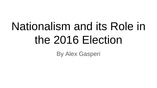# Nationalism and its Role in the 2016 Election

By Alex Gasperi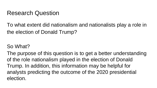#### Research Question

To what extent did nationalism and nationalists play a role in the election of Donald Trump?

#### So What?

The purpose of this question is to get a better understanding of the role nationalism played in the election of Donald Trump. In addition, this information may be helpful for analysts predicting the outcome of the 2020 presidential election.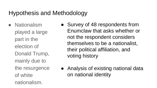# Hypothesis and Methodology

- Nationalism played a large part in the election of Donald Trump, mainly due to the resurgence of white nationalism.
- Survey of 48 respondents from Enumclaw that asks whether or not the respondent considers themselves to be a nationalist, their political affiliation, and voting history
- Analysis of existing national data on national identity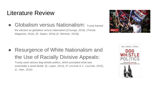#### Literature Review

● Globalism versus Nationalism: Trump framed

the election as globalism versus nationalism [(Younge, 2019), (Trends Magazine, 2016), (R. Salam, 2016) (A. Wimmer, 2019)]



# ● Resurgence of White Nationalism and the Use of Racially Divisive Appeals:

Trump used various dog-whistle politics, which prompted what was essentially a racial divide [(I. Lopez, 2013), (P Levchak & C. Levchak, 2020), (C. Alter, 2016)

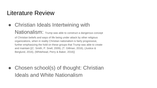#### Literature Review

• Christian Ideals Intertwining with

Nationalism: Trump was able to construct a dangerous concept

of Christian beliefs and ways of life being under attack by other religious organizations, when in reality Christian nationalism is fairly progressive, further emphasizing the hold on these groups that Trump was able to create and maintain [(C. Smith, P. Snell, 2009), (T. Gillman, 2016), (Justice & Berglund, 2016), (Whitehead, Perry & Baker, 2016)]

• Chosen school(s) of thought: Christian Ideals and White Nationalism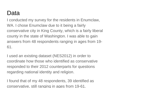#### Data

I conducted my survey for the residents in Enumclaw, WA. I chose Enumclaw due to it being a fairly conservative city in King County, which is a fairly liberal county in the state of Washington. I was able to gain answers from 48 respondents ranging in ages from 19- 61.

I used an existing dataset (NES2012) in order to coordinate how those who identified as conservative responded to their 2012 counterparts for questions regarding national identity and religion.

I found that of my 48 respondents, 39 identified as conservative, still ranging in ages from 19-61.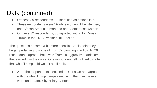# Data (continued)

- Of these 39 respondents, 32 identified as nationalists.
- These respondents were 19 white women, 11 white men, one African American man and one Vietnamese woman
- Of these 32 respondents, 30 reported voting for Donald Trump in the 2016 Presidential Election.

The questions became a bit more specific. At this point they began pertaining to some of Trump's campaign tactics. All 30 respondents agreed that it was Trump's aggressive patriotism that earned him their vote. One respondent felt inclined to note that what Trump said wasn't at all racist.

• 21 of the respondents identified as Christian and agreed with the idea Trump campaigned with, that their beliefs were under attack by Hillary Clinton.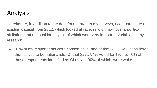# Analysis

To reiterate, in addition to the data found through my surveys, I compared it to an existing dataset from 2012, which looked at race, religion, patriotism, political affiliation, and national identity; all of which were very important variables in my research.

● 81% of my respondents were conservative, and of that 81%, 82% considered themselves to be nationalists. Of that 82%, 94% voted for Trump. 70% of these respondents identified as Christian, 90% of which, were white.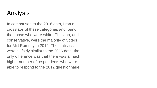### Analysis

In comparison to the 2016 data, I ran a crosstabs of these categories and found that those who were white, Christian, and conservative, were the majority of voters for Mitt Romney in 2012. The statistics were all fairly similar to the 2016 data, the only difference was that there was a much higher number of respondents who were able to respond to the 2012 questionnaire.